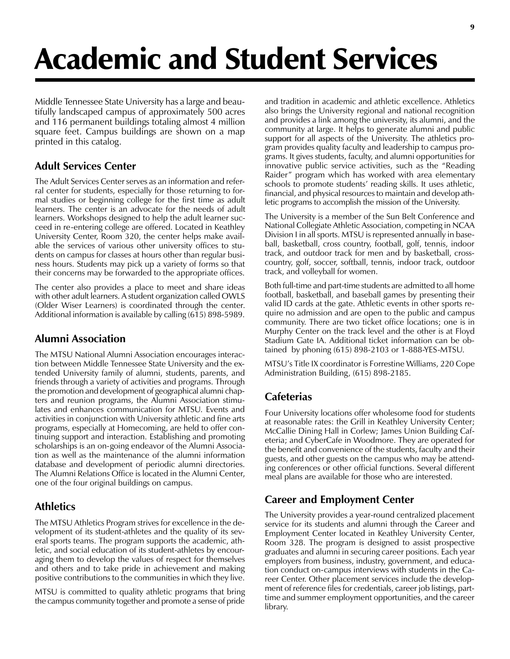# Academic and Student Services

Middle Tennessee State University has a large and beautifully landscaped campus of approximately 500 acres and 116 permanent buildings totaling almost 4 million square feet. Campus buildings are shown on a map printed in this catalog.

# Adult Services Center

The Adult Services Center serves as an information and referral center for students, especially for those returning to formal studies or beginning college for the first time as adult learners. The center is an advocate for the needs of adult learners. Workshops designed to help the adult learner succeed in re-entering college are offered. Located in Keathley University Center, Room 320, the center helps make available the services of various other university offices to students on campus for classes at hours other than regular business hours. Students may pick up a variety of forms so that their concerns may be forwarded to the appropriate offices.

The center also provides a place to meet and share ideas with other adult learners. A student organization called OWLS (Older Wiser Learners) is coordinated through the center. Additional information is available by calling (615) 898-5989.

# Alumni Association

The MTSU National Alumni Association encourages interaction between Middle Tennessee State University and the extended University family of alumni, students, parents, and friends through a variety of activities and programs. Through the promotion and development of geographical alumni chapters and reunion programs, the Alumni Association stimulates and enhances communication for MTSU. Events and activities in conjunction with University athletic and fine arts programs, especially at Homecoming, are held to offer continuing support and interaction. Establishing and promoting scholarships is an on-going endeavor of the Alumni Association as well as the maintenance of the alumni information database and development of periodic alumni directories. The Alumni Relations Office is located in the Alumni Center, one of the four original buildings on campus.

# Athletics

The MTSU Athletics Program strives for excellence in the development of its student-athletes and the quality of its several sports teams. The program supports the academic, athletic, and social education of its student-athletes by encouraging them to develop the values of respect for themselves and others and to take pride in achievement and making positive contributions to the communities in which they live.

MTSU is committed to quality athletic programs that bring the campus community together and promote a sense of pride

and tradition in academic and athletic excellence. Athletics also brings the University regional and national recognition and provides a link among the university, its alumni, and the community at large. It helps to generate alumni and public support for all aspects of the University. The athletics program provides quality faculty and leadership to campus programs. It gives students, faculty, and alumni opportunities for innovative public service activities, such as the "Reading Raider" program which has worked with area elementary schools to promote students' reading skills. It uses athletic, financial, and physical resources to maintain and develop athletic programs to accomplish the mission of the University.

The University is a member of the Sun Belt Conference and National Collegiate Athletic Association, competing in NCAA Division I in all sports. MTSU is represented annually in baseball, basketball, cross country, football, golf, tennis, indoor track, and outdoor track for men and by basketball, crosscountry, golf, soccer, softball, tennis, indoor track, outdoor track, and volleyball for women.

Both full-time and part-time students are admitted to all home football, basketball, and baseball games by presenting their valid ID cards at the gate. Athletic events in other sports require no admission and are open to the public and campus community. There are two ticket office locations; one is in Murphy Center on the track level and the other is at Floyd Stadium Gate IA. Additional ticket information can be obtained by phoning (615) 898-2103 or 1-888-YES-MTSU.

MTSU's Title IX coordinator is Forrestine Williams, 220 Cope Administration Building, (615) 898-2185.

# **Cafeterias**

Four University locations offer wholesome food for students at reasonable rates: the Grill in Keathley University Center; McCallie Dining Hall in Corlew; James Union Building Cafeteria; and CyberCafe in Woodmore. They are operated for the benefit and convenience of the students, faculty and their guests, and other guests on the campus who may be attending conferences or other official functions. Several different meal plans are available for those who are interested.

# Career and Employment Center

The University provides a year-round centralized placement service for its students and alumni through the Career and Employment Center located in Keathley University Center, Room 328. The program is designed to assist prospective graduates and alumni in securing career positions. Each year employers from business, industry, government, and education conduct on-campus interviews with students in the Career Center. Other placement services include the development of reference files for credentials, career job listings, parttime and summer employment opportunities, and the career library.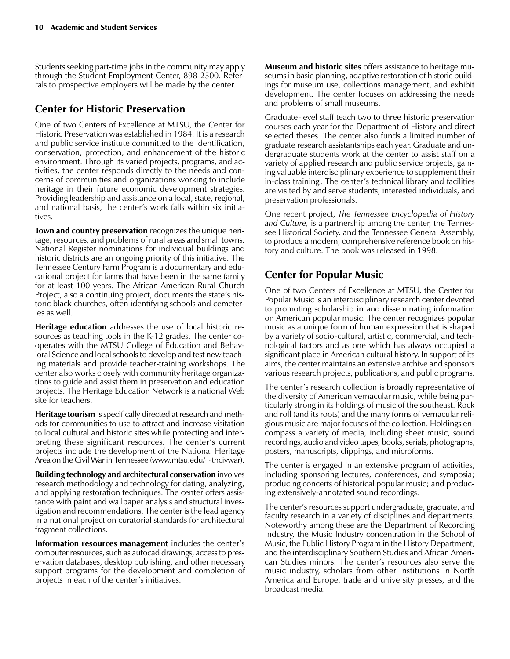Students seeking part-time jobs in the community may apply through the Student Employment Center, 898-2500. Referrals to prospective employers will be made by the center.

#### Center for Historic Preservation

One of two Centers of Excellence at MTSU, the Center for Historic Preservation was established in 1984. It is a research and public service institute committed to the identification, conservation, protection, and enhancement of the historic environment. Through its varied projects, programs, and activities, the center responds directly to the needs and concerns of communities and organizations working to include heritage in their future economic development strategies. Providing leadership and assistance on a local, state, regional, and national basis, the center's work falls within six initiatives.

Town and country preservation recognizes the unique heritage, resources, and problems of rural areas and small towns. National Register nominations for individual buildings and historic districts are an ongoing priority of this initiative. The Tennessee Century Farm Program is a documentary and educational project for farms that have been in the same family for at least 100 years. The African-American Rural Church Project, also a continuing project, documents the state's historic black churches, often identifying schools and cemeteries as well.

Heritage education addresses the use of local historic resources as teaching tools in the K-12 grades. The center cooperates with the MTSU College of Education and Behavioral Science and local schools to develop and test new teaching materials and provide teacher-training workshops. The center also works closely with community heritage organizations to guide and assist them in preservation and education projects. The Heritage Education Network is a national Web site for teachers.

**Heritage tourism** is specifically directed at research and methods for communities to use to attract and increase visitation to local cultural and historic sites while protecting and interpreting these significant resources. The center's current projects include the development of the National Heritage Area on the Civil War in Tennessee (www.mtsu.edu/~tncivwar).

Building technology and architectural conservation involves research methodology and technology for dating, analyzing, and applying restoration techniques. The center offers assistance with paint and wallpaper analysis and structural investigation and recommendations. The center is the lead agency in a national project on curatorial standards for architectural fragment collections.

Information resources management includes the center's computer resources, such as autocad drawings, access to preservation databases, desktop publishing, and other necessary support programs for the development and completion of projects in each of the center's initiatives.

Museum and historic sites offers assistance to heritage museums in basic planning, adaptive restoration of historic buildings for museum use, collections management, and exhibit development. The center focuses on addressing the needs and problems of small museums.

Graduate-level staff teach two to three historic preservation courses each year for the Department of History and direct selected theses. The center also funds a limited number of graduate research assistantships each year. Graduate and undergraduate students work at the center to assist staff on a variety of applied research and public service projects, gaining valuable interdisciplinary experience to supplement their in-class training. The center's technical library and facilities are visited by and serve students, interested individuals, and preservation professionals.

One recent project, The Tennessee Encyclopedia of History and Culture, is a partnership among the center, the Tennessee Historical Society, and the Tennessee General Assembly, to produce a modern, comprehensive reference book on history and culture. The book was released in 1998.

## Center for Popular Music

One of two Centers of Excellence at MTSU, the Center for Popular Music is an interdisciplinary research center devoted to promoting scholarship in and disseminating information on American popular music. The center recognizes popular music as a unique form of human expression that is shaped by a variety of socio-cultural, artistic, commercial, and technological factors and as one which has always occupied a significant place in American cultural history. In support of its aims, the center maintains an extensive archive and sponsors various research projects, publications, and public programs.

The center's research collection is broadly representative of the diversity of American vernacular music, while being particularly strong in its holdings of music of the southeast. Rock and roll (and its roots) and the many forms of vernacular religious music are major focuses of the collection. Holdings encompass a variety of media, including sheet music, sound recordings, audio and video tapes, books, serials, photographs, posters, manuscripts, clippings, and microforms.

The center is engaged in an extensive program of activities, including sponsoring lectures, conferences, and symposia; producing concerts of historical popular music; and producing extensively-annotated sound recordings.

The center's resources support undergraduate, graduate, and faculty research in a variety of disciplines and departments. Noteworthy among these are the Department of Recording Industry, the Music Industry concentration in the School of Music, the Public History Program in the History Department, and the interdisciplinary Southern Studies and African American Studies minors. The center's resources also serve the music industry, scholars from other institutions in North America and Europe, trade and university presses, and the broadcast media.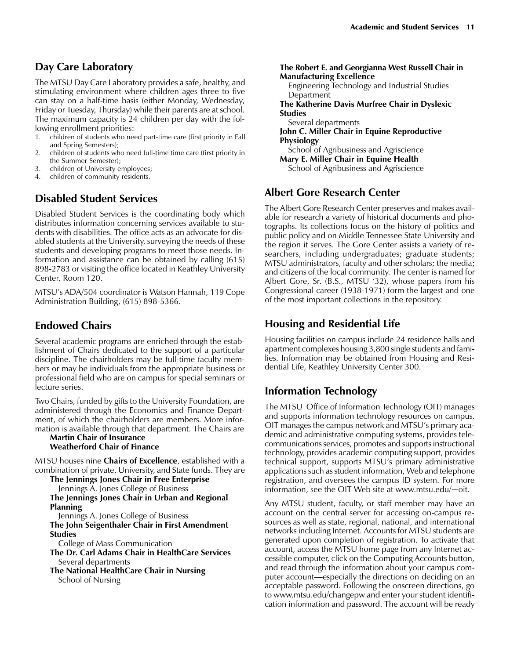#### Day Care Laboratory

The MTSU Day Care Laboratory provides a safe, healthy, and stimulating environment where children ages three to five can stay on a half-time basis (either Monday, Wednesday, Friday or Tuesday, Thursday) while their parents are at school. The maximum capacity is 24 children per day with the following enrollment priorities:

- 1. children of students who need part-time care (first priority in Fall and Spring Semesters);
- 2. children of students who need full-time time care (first priority in the Summer Semester);
- 3. children of University employees;<br>4. children of community residents.
- children of community residents.

#### Disabled Student Services

Disabled Student Services is the coordinating body which distributes information concerning services available to students with disabilities. The office acts as an advocate for disabled students at the University, surveying the needs of these students and developing programs to meet those needs. Information and assistance can be obtained by calling (615) 898-2783 or visiting the office located in Keathley University Center, Room 120.

MTSU's ADA/504 coordinator is Watson Hannah, 119 Cope Administration Building, (615) 898-5366.

#### Endowed Chairs

Several academic programs are enriched through the establishment of Chairs dedicated to the support of a particular discipline. The chairholders may be full-time faculty members or may be individuals from the appropriate business or professional field who are on campus for special seminars or lecture series.

Two Chairs, funded by gifts to the University Foundation, are administered through the Economics and Finance Department, of which the chairholders are members. More information is available through that department. The Chairs are

#### Martin Chair of Insurance Weatherford Chair of Finance

MTSU houses nine **Chairs of Excellence**, established with a combination of private, University, and State funds. They are

The Jennings Jones Chair in Free Enterprise Jennings A. Jones College of Business The Jennings Jones Chair in Urban and Regional Planning Jennings A. Jones College of Business

The John Seigenthaler Chair in First Amendment Studies

College of Mass Communication

The Dr. Carl Adams Chair in HealthCare Services Several departments

The National HealthCare Chair in Nursing School of Nursing

#### The Robert E. and Georgianna West Russell Chair in Manufacturing Excellence

Engineering Technology and Industrial Studies Department

The Katherine Davis Murfree Chair in Dyslexic Studies

Several departments

John C. Miller Chair in Equine Reproductive Physiology

School of Agribusiness and Agriscience

Mary E. Miller Chair in Equine Health

School of Agribusiness and Agriscience

#### Albert Gore Research Center

The Albert Gore Research Center preserves and makes available for research a variety of historical documents and photographs. Its collections focus on the history of politics and public policy and on Middle Tennessee State University and the region it serves. The Gore Center assists a variety of researchers, including undergraduates; graduate students; MTSU administrators, faculty and other scholars; the media; and citizens of the local community. The center is named for Albert Gore, Sr. (B.S., MTSU '32), whose papers from his Congressional career (1938-1971) form the largest and one of the most important collections in the repository.

### Housing and Residential Life

Housing facilities on campus include 24 residence halls and apartment complexes housing 3,800 single students and families. Information may be obtained from Housing and Residential Life, Keathley University Center 300.

#### Information Technology

The MTSU Office of Information Technology (OIT) manages and supports information technology resources on campus. OIT manages the campus network and MTSU's primary academic and administrative computing systems, provides telecommunications services, promotes and supports instructional technology, provides academic computing support, provides technical support, supports MTSU's primary administrative applications such as student information, Web and telephone registration, and oversees the campus ID system. For more information, see the OIT Web site at www.mtsu.edu/ $\sim$ oit.

Any MTSU student, faculty, or staff member may have an account on the central server for accessing on-campus resources as well as state, regional, national, and international networks including Internet. Accounts for MTSU students are generated upon completion of registration. To activate that account, access the MTSU home page from any Internet accessible computer, click on the Computing Accounts button, and read through the information about your campus computer account—especially the directions on deciding on an acceptable password. Following the onscreen directions, go to www.mtsu.edu/changepw and enter your student identification information and password. The account will be ready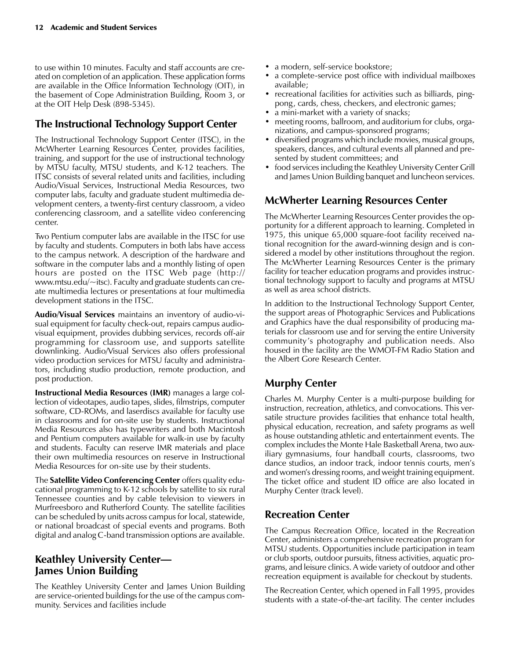to use within 10 minutes. Faculty and staff accounts are created on completion of an application. These application forms are available in the Office Information Technology (OIT), in the basement of Cope Administration Building, Room 3, or at the OIT Help Desk (898-5345).

#### The Instructional Technology Support Center

The Instructional Technology Support Center (ITSC), in the McWherter Learning Resources Center, provides facilities, training, and support for the use of instructional technology by MTSU faculty, MTSU students, and K-12 teachers. The ITSC consists of several related units and facilities, including Audio/Visual Services, Instructional Media Resources, two computer labs, faculty and graduate student multimedia development centers, a twenty-first century classroom, a video conferencing classroom, and a satellite video conferencing center.

Two Pentium computer labs are available in the ITSC for use by faculty and students. Computers in both labs have access to the campus network. A description of the hardware and software in the computer labs and a monthly listing of open hours are posted on the ITSC Web page (http:// www.mtsu.edu/~itsc). Faculty and graduate students can create multimedia lectures or presentations at four multimedia development stations in the ITSC.

Audio/Visual Services maintains an inventory of audio-visual equipment for faculty check-out, repairs campus audiovisual equipment, provides dubbing services, records off-air programming for classroom use, and supports satellite downlinking. Audio/Visual Services also offers professional video production services for MTSU faculty and administrators, including studio production, remote production, and post production.

Instructional Media Resources (IMR) manages a large collection of videotapes, audio tapes, slides, filmstrips, computer software, CD-ROMs, and laserdiscs available for faculty use in classrooms and for on-site use by students. Instructional Media Resources also has typewriters and both Macintosh and Pentium computers available for walk-in use by faculty and students. Faculty can reserve IMR materials and place their own multimedia resources on reserve in Instructional Media Resources for on-site use by their students.

The Satellite Video Conferencing Center offers quality educational programming to K-12 schools by satellite to six rural Tennessee counties and by cable television to viewers in Murfreesboro and Rutherford County. The satellite facilities can be scheduled by units across campus for local, statewide, or national broadcast of special events and programs. Both digital and analog C-band transmission options are available.

#### Keathley University Center James Union Building

The Keathley University Center and James Union Building are service-oriented buildings for the use of the campus community. Services and facilities include

- a modern, self-service bookstore;
- a complete-service post office with individual mailboxes available;
- recreational facilities for activities such as billiards, pingpong, cards, chess, checkers, and electronic games;
- a mini-market with a variety of snacks;
- meeting rooms, ballroom, and auditorium for clubs, organizations, and campus-sponsored programs;
- diversified programs which include movies, musical groups, speakers, dances, and cultural events all planned and presented by student committees; and
- food services including the Keathley University Center Grill and James Union Building banquet and luncheon services.

#### McWherter Learning Resources Center

The McWherter Learning Resources Center provides the opportunity for a different approach to learning. Completed in 1975, this unique 65,000 square-foot facility received national recognition for the award-winning design and is considered a model by other institutions throughout the region. The McWherter Learning Resources Center is the primary facility for teacher education programs and provides instructional technology support to faculty and programs at MTSU as well as area school districts.

In addition to the Instructional Technology Support Center, the support areas of Photographic Services and Publications and Graphics have the dual responsibility of producing materials for classroom use and for serving the entire University community's photography and publication needs. Also housed in the facility are the WMOT-FM Radio Station and the Albert Gore Research Center.

#### Murphy Center

Charles M. Murphy Center is a multi-purpose building for instruction, recreation, athletics, and convocations. This versatile structure provides facilities that enhance total health, physical education, recreation, and safety programs as well as house outstanding athletic and entertainment events. The complex includes the Monte Hale Basketball Arena, two auxiliary gymnasiums, four handball courts, classrooms, two dance studios, an indoor track, indoor tennis courts, men's and women's dressing rooms, and weight training equipment. The ticket office and student ID office are also located in Murphy Center (track level).

#### Recreation Center

The Campus Recreation Office, located in the Recreation Center, administers a comprehensive recreation program for MTSU students. Opportunities include participation in team or club sports, outdoor pursuits, fitness activities, aquatic programs, and leisure clinics. A wide variety of outdoor and other recreation equipment is available for checkout by students.

The Recreation Center, which opened in Fall 1995, provides students with a state-of-the-art facility. The center includes